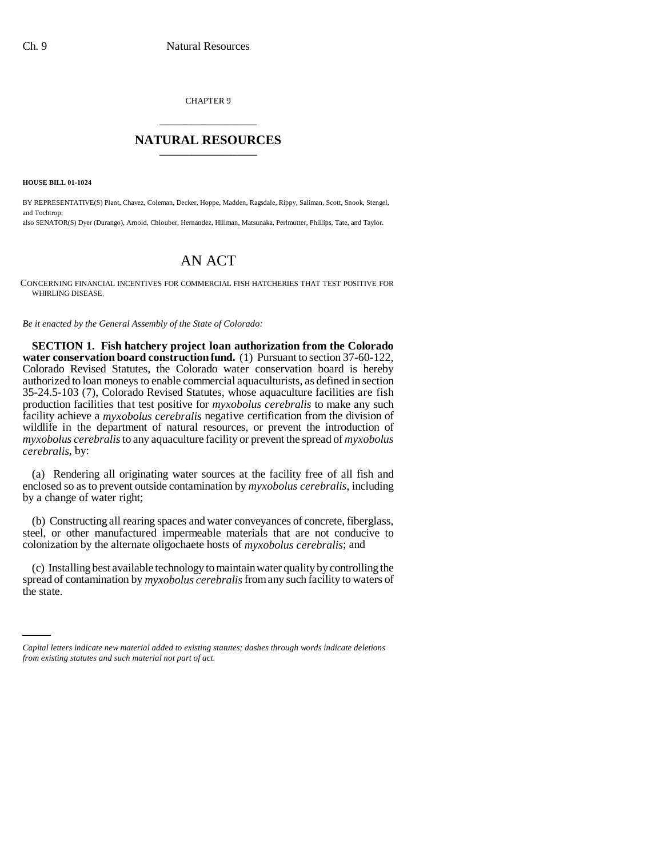CHAPTER 9 \_\_\_\_\_\_\_\_\_\_\_\_\_\_\_

## **NATURAL RESOURCES** \_\_\_\_\_\_\_\_\_\_\_\_\_\_\_

**HOUSE BILL 01-1024**

BY REPRESENTATIVE(S) Plant, Chavez, Coleman, Decker, Hoppe, Madden, Ragsdale, Rippy, Saliman, Scott, Snook, Stengel, and Tochtrop; also SENATOR(S) Dyer (Durango), Arnold, Chlouber, Hernandez, Hillman, Matsunaka, Perlmutter, Phillips, Tate, and Taylor.

## AN ACT

CONCERNING FINANCIAL INCENTIVES FOR COMMERCIAL FISH HATCHERIES THAT TEST POSITIVE FOR WHIRLING DISEASE.

*Be it enacted by the General Assembly of the State of Colorado:*

**SECTION 1. Fish hatchery project loan authorization from the Colorado water conservation board construction fund.** (1) Pursuant to section 37-60-122, Colorado Revised Statutes, the Colorado water conservation board is hereby authorized to loan moneys to enable commercial aquaculturists, as defined in section 35-24.5-103 (7), Colorado Revised Statutes, whose aquaculture facilities are fish production facilities that test positive for *myxobolus cerebralis* to make any such facility achieve a *myxobolus cerebralis* negative certification from the division of wildlife in the department of natural resources, or prevent the introduction of *myxobolus cerebralis* to any aquaculture facility or prevent the spread of *myxobolus cerebralis*, by:

(a) Rendering all originating water sources at the facility free of all fish and enclosed so as to prevent outside contamination by *myxobolus cerebralis*, including by a change of water right;

(b) Constructing all rearing spaces and water conveyances of concrete, fiberglass, steel, or other manufactured impermeable materials that are not conducive to colonization by the alternate oligochaete hosts of *myxobolus cerebralis*; and

spread of contamination by *myxobolus cerebralis* from any such facility to waters of (c) Installing best available technology to maintain water quality by controlling the the state.

*Capital letters indicate new material added to existing statutes; dashes through words indicate deletions from existing statutes and such material not part of act.*